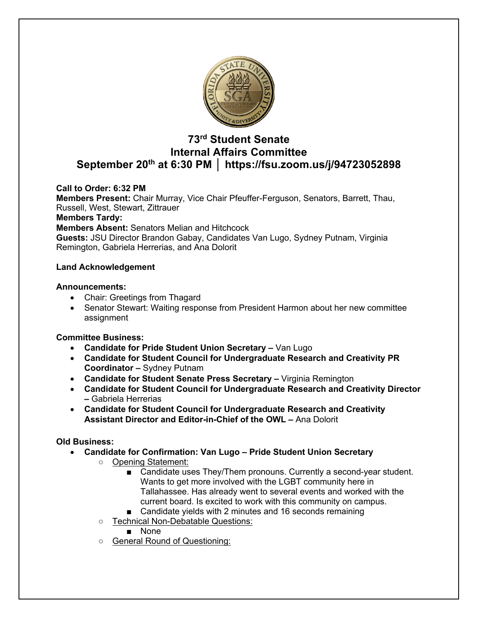

# **73rd Student Senate Internal Affairs Committee September 20th at 6:30 PM │ https://fsu.zoom.us/j/94723052898**

## **Call to Order: 6:32 PM**

**Members Present:** Chair Murray, Vice Chair Pfeuffer-Ferguson, Senators, Barrett, Thau, Russell, West, Stewart, Zittrauer

### **Members Tardy:**

**Members Absent:** Senators Melian and Hitchcock

**Guests:** JSU Director Brandon Gabay, Candidates Van Lugo, Sydney Putnam, Virginia Remington, Gabriela Herrerias, and Ana Dolorit

### **Land Acknowledgement**

### **Announcements:**

- Chair: Greetings from Thagard
- Senator Stewart: Waiting response from President Harmon about her new committee assignment

## **Committee Business:**

- **Candidate for Pride Student Union Secretary –** Van Lugo
- **Candidate for Student Council for Undergraduate Research and Creativity PR Coordinator –** Sydney Putnam
- **Candidate for Student Senate Press Secretary –** Virginia Remington
- **Candidate for Student Council for Undergraduate Research and Creativity Director –** Gabriela Herrerias
- **Candidate for Student Council for Undergraduate Research and Creativity Assistant Director and Editor-in-Chief of the OWL –** Ana Dolorit

## **Old Business:**

- **Candidate for Confirmation: Van Lugo – Pride Student Union Secretary**
	- Opening Statement:
		- Candidate uses They/Them pronouns. Currently a second-year student. Wants to get more involved with the LGBT community here in Tallahassee. Has already went to several events and worked with the current board. Is excited to work with this community on campus.
		- Candidate yields with 2 minutes and 16 seconds remaining
	- Technical Non-Debatable Questions:
		- None
	- General Round of Questioning: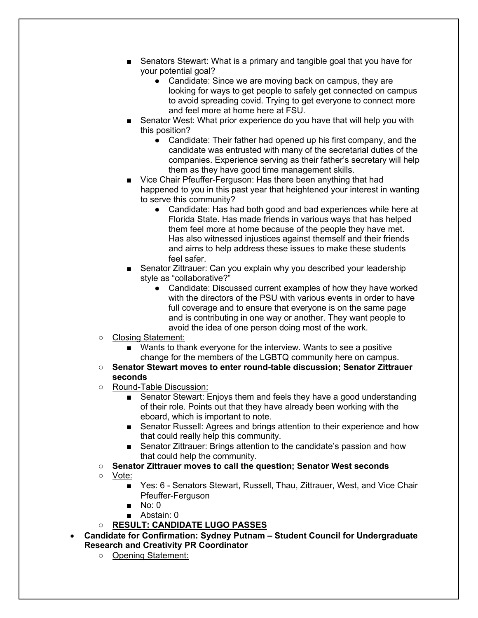- Senators Stewart: What is a primary and tangible goal that you have for your potential goal?
	- Candidate: Since we are moving back on campus, they are looking for ways to get people to safely get connected on campus to avoid spreading covid. Trying to get everyone to connect more and feel more at home here at FSU.
- Senator West: What prior experience do you have that will help you with this position?
	- Candidate: Their father had opened up his first company, and the candidate was entrusted with many of the secretarial duties of the companies. Experience serving as their father's secretary will help them as they have good time management skills.
- Vice Chair Pfeuffer-Ferguson: Has there been anything that had happened to you in this past year that heightened your interest in wanting to serve this community?
	- Candidate: Has had both good and bad experiences while here at Florida State. Has made friends in various ways that has helped them feel more at home because of the people they have met. Has also witnessed injustices against themself and their friends and aims to help address these issues to make these students feel safer.
- Senator Zittrauer: Can you explain why you described your leadership style as "collaborative?"
	- Candidate: Discussed current examples of how they have worked with the directors of the PSU with various events in order to have full coverage and to ensure that everyone is on the same page and is contributing in one way or another. They want people to avoid the idea of one person doing most of the work.
- Closing Statement:
	- Wants to thank everyone for the interview. Wants to see a positive change for the members of the LGBTQ community here on campus.
- **Senator Stewart moves to enter round-table discussion; Senator Zittrauer seconds**
- Round-Table Discussion:
	- Senator Stewart: Enjoys them and feels they have a good understanding of their role. Points out that they have already been working with the eboard, which is important to note.
	- Senator Russell: Agrees and brings attention to their experience and how that could really help this community.
	- Senator Zittrauer: Brings attention to the candidate's passion and how that could help the community.
- **Senator Zittrauer moves to call the question; Senator West seconds**
- Vote:
	- Yes: 6 Senators Stewart, Russell, Thau, Zittrauer, West, and Vice Chair Pfeuffer-Ferguson
	- No: 0
	- Abstain: 0

## ○ **RESULT: CANDIDATE LUGO PASSES**

- **Candidate for Confirmation: Sydney Putnam – Student Council for Undergraduate Research and Creativity PR Coordinator**
	- Opening Statement: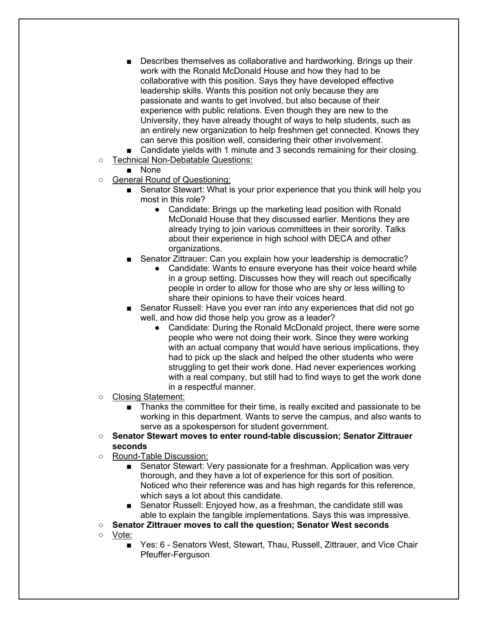- Describes themselves as collaborative and hardworking. Brings up their work with the Ronald McDonald House and how they had to be collaborative with this position. Says they have developed effective leadership skills. Wants this position not only because they are passionate and wants to get involved, but also because of their experience with public relations. Even though they are new to the University, they have already thought of ways to help students, such as an entirely new organization to help freshmen get connected. Knows they can serve this position well, considering their other involvement.
- Candidate yields with 1 minute and 3 seconds remaining for their closing.
- Technical Non-Debatable Questions:

■ None

- o General Round of Questioning:
	- Senator Stewart: What is your prior experience that you think will help you most in this role?
		- Candidate: Brings up the marketing lead position with Ronald McDonald House that they discussed earlier. Mentions they are already trying to join various committees in their sorority. Talks about their experience in high school with DECA and other organizations.
	- Senator Zittrauer: Can you explain how your leadership is democratic?
		- Candidate: Wants to ensure everyone has their voice heard while in a group setting. Discusses how they will reach out specifically people in order to allow for those who are shy or less willing to share their opinions to have their voices heard.
	- Senator Russell: Have you ever ran into any experiences that did not go well, and how did those help you grow as a leader?
		- Candidate: During the Ronald McDonald project, there were some people who were not doing their work. Since they were working with an actual company that would have serious implications, they had to pick up the slack and helped the other students who were struggling to get their work done. Had never experiences working with a real company, but still had to find ways to get the work done in a respectful manner.
- Closing Statement:
	- Thanks the committee for their time, is really excited and passionate to be working in this department. Wants to serve the campus, and also wants to serve as a spokesperson for student government.
- **Senator Stewart moves to enter round-table discussion; Senator Zittrauer seconds**
- Round-Table Discussion:
	- Senator Stewart: Very passionate for a freshman. Application was very thorough, and they have a lot of experience for this sort of position. Noticed who their reference was and has high regards for this reference, which says a lot about this candidate.
	- Senator Russell: Enjoyed how, as a freshman, the candidate still was able to explain the tangible implementations. Says this was impressive.
- **Senator Zittrauer moves to call the question; Senator West seconds**
- Vote:
	- Yes: 6 Senators West, Stewart, Thau, Russell, Zittrauer, and Vice Chair Pfeuffer-Ferguson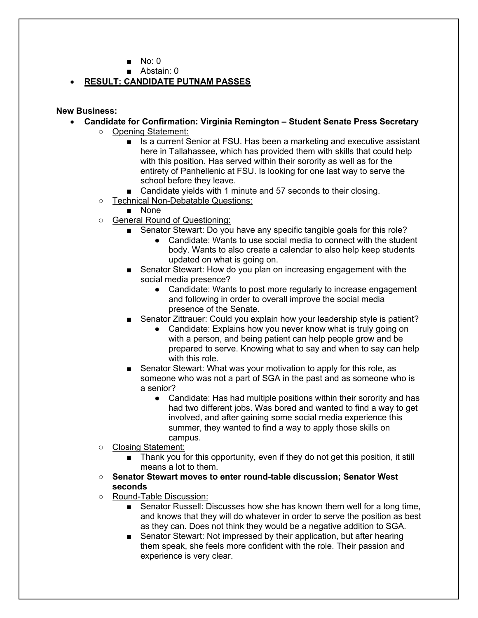- No: 0
- Abstain: 0

## • **RESULT: CANDIDATE PUTNAM PASSES**

### **New Business:**

- **Candidate for Confirmation: Virginia Remington – Student Senate Press Secretary**
	- Opening Statement:
		- Is a current Senior at FSU. Has been a marketing and executive assistant here in Tallahassee, which has provided them with skills that could help with this position. Has served within their sorority as well as for the entirety of Panhellenic at FSU. Is looking for one last way to serve the school before they leave.
		- Candidate yields with 1 minute and 57 seconds to their closing.
	- Technical Non-Debatable Questions:
		- None
	- General Round of Questioning:
		- Senator Stewart: Do you have any specific tangible goals for this role?
			- Candidate: Wants to use social media to connect with the student body. Wants to also create a calendar to also help keep students updated on what is going on.
		- Senator Stewart: How do you plan on increasing engagement with the social media presence?
			- Candidate: Wants to post more regularly to increase engagement and following in order to overall improve the social media presence of the Senate.
		- Senator Zittrauer: Could you explain how your leadership style is patient?
			- Candidate: Explains how you never know what is truly going on with a person, and being patient can help people grow and be prepared to serve. Knowing what to say and when to say can help with this role.
		- Senator Stewart: What was your motivation to apply for this role, as someone who was not a part of SGA in the past and as someone who is a senior?
			- Candidate: Has had multiple positions within their sorority and has had two different jobs. Was bored and wanted to find a way to get involved, and after gaining some social media experience this summer, they wanted to find a way to apply those skills on campus.
	- Closing Statement:
		- Thank you for this opportunity, even if they do not get this position, it still means a lot to them.
	- **Senator Stewart moves to enter round-table discussion; Senator West seconds**
	- Round-Table Discussion:
		- Senator Russell: Discusses how she has known them well for a long time, and knows that they will do whatever in order to serve the position as best as they can. Does not think they would be a negative addition to SGA.
		- Senator Stewart: Not impressed by their application, but after hearing them speak, she feels more confident with the role. Their passion and experience is very clear.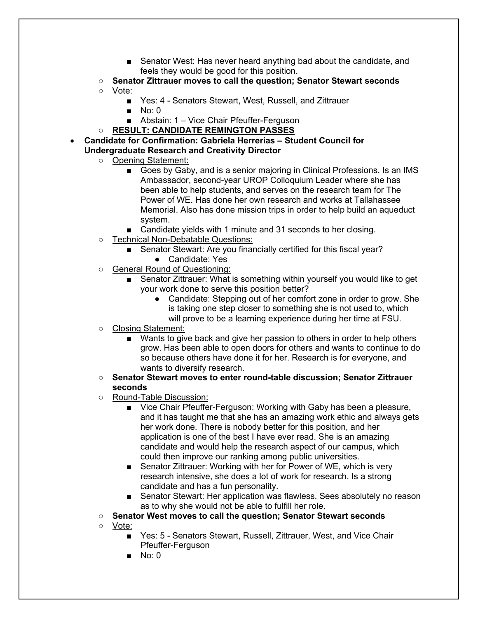- Senator West: Has never heard anything bad about the candidate, and feels they would be good for this position.
- **Senator Zittrauer moves to call the question; Senator Stewart seconds**
- Vote:
	- Yes: 4 Senators Stewart, West, Russell, and Zittrauer
	- No: 0
	- Abstain: 1 Vice Chair Pfeuffer-Ferguson
- **RESULT: CANDIDATE REMINGTON PASSES**
- **Candidate for Confirmation: Gabriela Herrerias – Student Council for Undergraduate Research and Creativity Director**
	- Opening Statement:
		- Goes by Gaby, and is a senior majoring in Clinical Professions. Is an IMS Ambassador, second-year UROP Colloquium Leader where she has been able to help students, and serves on the research team for The Power of WE. Has done her own research and works at Tallahassee Memorial. Also has done mission trips in order to help build an aqueduct system.
		- Candidate yields with 1 minute and 31 seconds to her closing.
	- Technical Non-Debatable Questions:
		- Senator Stewart: Are you financially certified for this fiscal year?
			- Candidate: Yes
	- General Round of Questioning:
		- Senator Zittrauer: What is something within yourself you would like to get your work done to serve this position better?
			- Candidate: Stepping out of her comfort zone in order to grow. She is taking one step closer to something she is not used to, which will prove to be a learning experience during her time at FSU.
	- Closing Statement:
		- Wants to give back and give her passion to others in order to help others grow. Has been able to open doors for others and wants to continue to do so because others have done it for her. Research is for everyone, and wants to diversify research.
	- **Senator Stewart moves to enter round-table discussion; Senator Zittrauer seconds**
	- Round-Table Discussion:
		- Vice Chair Pfeuffer-Ferguson: Working with Gaby has been a pleasure, and it has taught me that she has an amazing work ethic and always gets her work done. There is nobody better for this position, and her application is one of the best I have ever read. She is an amazing candidate and would help the research aspect of our campus, which could then improve our ranking among public universities.
		- Senator Zittrauer: Working with her for Power of WE, which is very research intensive, she does a lot of work for research. Is a strong candidate and has a fun personality.
		- Senator Stewart: Her application was flawless. Sees absolutely no reason as to why she would not be able to fulfill her role.
	- **Senator West moves to call the question; Senator Stewart seconds**
	- Vote:
		- Yes: 5 Senators Stewart, Russell, Zittrauer, West, and Vice Chair Pfeuffer-Ferguson
		- No: 0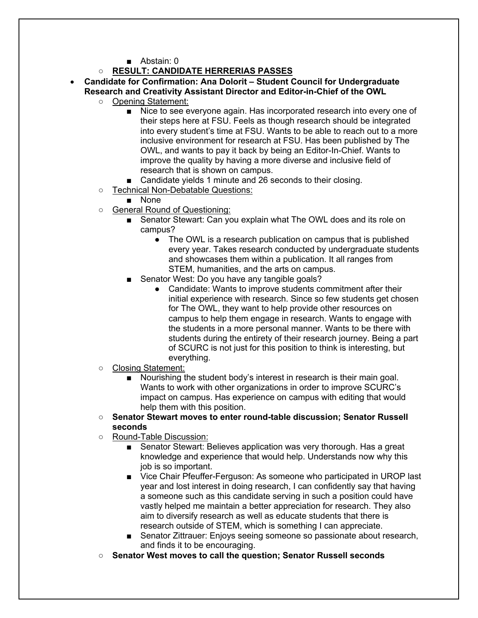■ Abstain: 0

## ○ **RESULT: CANDIDATE HERRERIAS PASSES**

- **Candidate for Confirmation: Ana Dolorit – Student Council for Undergraduate Research and Creativity Assistant Director and Editor-in-Chief of the OWL**
	- Opening Statement:
		- Nice to see everyone again. Has incorporated research into every one of their steps here at FSU. Feels as though research should be integrated into every student's time at FSU. Wants to be able to reach out to a more inclusive environment for research at FSU. Has been published by The OWL, and wants to pay it back by being an Editor-In-Chief. Wants to improve the quality by having a more diverse and inclusive field of research that is shown on campus.
		- Candidate yields 1 minute and 26 seconds to their closing.
	- Technical Non-Debatable Questions:
		- None
	- General Round of Questioning:
		- Senator Stewart: Can you explain what The OWL does and its role on campus?
			- The OWL is a research publication on campus that is published every year. Takes research conducted by undergraduate students and showcases them within a publication. It all ranges from STEM, humanities, and the arts on campus.
		- Senator West: Do you have any tangible goals?
			- Candidate: Wants to improve students commitment after their initial experience with research. Since so few students get chosen for The OWL, they want to help provide other resources on campus to help them engage in research. Wants to engage with the students in a more personal manner. Wants to be there with students during the entirety of their research journey. Being a part of SCURC is not just for this position to think is interesting, but everything.
	- Closing Statement:
		- Nourishing the student body's interest in research is their main goal. Wants to work with other organizations in order to improve SCURC's impact on campus. Has experience on campus with editing that would help them with this position.
	- **Senator Stewart moves to enter round-table discussion; Senator Russell seconds**
	- Round-Table Discussion:
		- Senator Stewart: Believes application was very thorough. Has a great knowledge and experience that would help. Understands now why this job is so important.
		- Vice Chair Pfeuffer-Ferguson: As someone who participated in UROP last year and lost interest in doing research, I can confidently say that having a someone such as this candidate serving in such a position could have vastly helped me maintain a better appreciation for research. They also aim to diversify research as well as educate students that there is research outside of STEM, which is something I can appreciate.
		- Senator Zittrauer: Enjoys seeing someone so passionate about research, and finds it to be encouraging.
	- **Senator West moves to call the question; Senator Russell seconds**